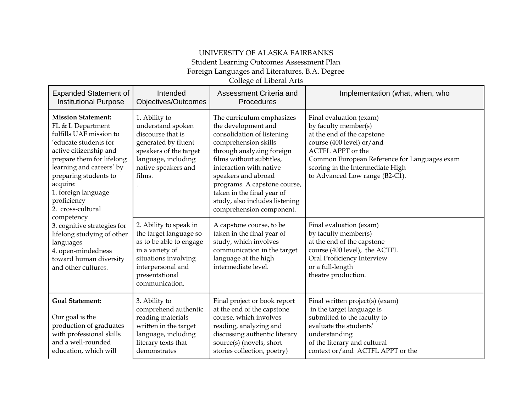## UNIVERSITY OF ALASKA FAIRBANKS Student Learning Outcomes Assessment Plan

Foreign Languages and Literatures, B.A. Degree

College of Liberal Arts

| <b>Expanded Statement of</b><br><b>Institutional Purpose</b>                                                                                                                                                                                                                                                                                                                                                                                         | Intended<br>Objectives/Outcomes                                                                                                                                                 | Assessment Criteria and<br>Procedures                                                                                                                                                                                                                                                                                                         | Implementation (what, when, who                                                                                                                                                                                                                              |
|------------------------------------------------------------------------------------------------------------------------------------------------------------------------------------------------------------------------------------------------------------------------------------------------------------------------------------------------------------------------------------------------------------------------------------------------------|---------------------------------------------------------------------------------------------------------------------------------------------------------------------------------|-----------------------------------------------------------------------------------------------------------------------------------------------------------------------------------------------------------------------------------------------------------------------------------------------------------------------------------------------|--------------------------------------------------------------------------------------------------------------------------------------------------------------------------------------------------------------------------------------------------------------|
| <b>Mission Statement:</b><br>FL & L Department<br>fulfills UAF mission to<br>'educate students for<br>active citizenship and<br>prepare them for lifelong<br>learning and careers' by<br>preparing students to<br>acquire:<br>1. foreign language<br>proficiency<br>2. cross-cultural<br>competency<br>3. cognitive strategies for<br>lifelong studying of other<br>languages<br>4. open-mindedness<br>toward human diversity<br>and other cultures. | 1. Ability to<br>understand spoken<br>discourse that is<br>generated by fluent<br>speakers of the target<br>language, including<br>native speakers and<br>films.                | The curriculum emphasizes<br>the development and<br>consolidation of listening<br>comprehension skills<br>through analyzing foreign<br>films without subtitles,<br>interaction with native<br>speakers and abroad<br>programs. A capstone course,<br>taken in the final year of<br>study, also includes listening<br>comprehension component. | Final evaluation (exam)<br>by faculty member(s)<br>at the end of the capstone<br>course (400 level) or/and<br><b>ACTFL APPT</b> or the<br>Common European Reference for Languages exam<br>scoring in the Intermediate High<br>to Advanced Low range (B2-C1). |
|                                                                                                                                                                                                                                                                                                                                                                                                                                                      | 2. Ability to speak in<br>the target language so<br>as to be able to engage<br>in a variety of<br>situations involving<br>interpersonal and<br>presentational<br>communication. | A capstone course, to be<br>taken in the final year of<br>study, which involves<br>communication in the target<br>language at the high<br>intermediate level.                                                                                                                                                                                 | Final evaluation (exam)<br>by faculty member(s)<br>at the end of the capstone<br>course (400 level), the ACTFL<br>Oral Proficiency Interview<br>or a full-length<br>theatre production.                                                                      |
| <b>Goal Statement:</b><br>Our goal is the<br>production of graduates<br>with professional skills<br>and a well-rounded<br>education, which will                                                                                                                                                                                                                                                                                                      | 3. Ability to<br>comprehend authentic<br>reading materials<br>written in the target<br>language, including<br>literary texts that<br>demonstrates                               | Final project or book report<br>at the end of the capstone<br>course, which involves<br>reading, analyzing and<br>discussing authentic literary<br>source(s) (novels, short<br>stories collection, poetry)                                                                                                                                    | Final written project(s) (exam)<br>in the target language is<br>submitted to the faculty to<br>evaluate the students'<br>understanding<br>of the literary and cultural<br>context or/and ACTFL APPT or the                                                   |